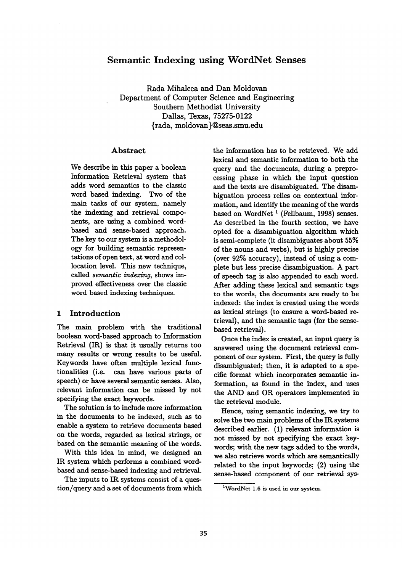# **Semantic Indexing using WordNet Senses**

Rada Mihalcea and Dan Moldovan Department of Computer Science and Engineering Southern Methodist University Dallas, Texas, 75275-0122 {rada, moldovan}@seas.smu.edu

### Abstract

We describe in this paper a boolean Information Retrieval system that adds word semantics to the classic word based indexing. Two of the main tasks of our system, namely the indexing and retrieval components, are using a combined wordbased and sense-based approach. The key to our system is a methodology for building semantic representations of open text, at word and collocation level. This new technique, *called semantic indexing,* shows improved effectiveness over the classic word based indexing techniques.

## 1 Introduction

The main problem with the traditional boolean word-based approach to Information Retrieval (IR) is that it usually returns too many results or wrong results to be useful. Keywords have often multiple lexical functionalities (i.e. can have various parts of speech) or have several semantic senses. Also, relevant information can be missed by not specifying the exact keywords.

The solution is to include more information in the documents to be indexed, such as to enable a system to retrieve documents based on the words, regarded as lexical strings, or based on the semantic meaning of the words.

With this idea in mind, we designed an IR system which performs a combined wordbased and sense-based indexing and retrieval.

The inputs to IR systems consist of a question/query and a set of documents from which the information has to be retrieved. We add lexical and semantic information to both the query and the documents, during a preprocessing phase in which the input question and the texts are disambiguated. The disambiguation process relies on contextual information, and identify the meaning of the words based on WordNet<sup>1</sup> (Fellbaum, 1998) senses. As described in the fourth section, we have opted for a disambiguation algorithm which is semi-complete (it disambiguates about  $55\%$ of the nouns and verbs), but is highly precise (over  $92\%$  accuracy), instead of using a complete but less precise disambiguation. A part of speech tag is also appended to each word. After adding these lexical and semantic tags to the words, the documents are ready to be indexed: the index is created using the words as lexical strings (to ensure a word-based retrieval), and the semantic tags (for the sensebased retrieval).

Once the index is created, an input query is answered using the document retrieval component of our system. First, the query is fully disambiguated; then, it is adapted to a specific format which incorporates semantic information, as found in the index, and uses the AND and OR operators implemented in the retrieval module.

Hence, using semantic indexing, we try to solve the two main problems of the IR systems described earlier. (1) relevant information is not missed by not specifying the exact keywords; with the new tags added to the words, we also retrieve words which are semantically related to the input keywords; (2) using the sense-based component of our retrieval sys-

<sup>&</sup>lt;sup>1</sup>WordNet 1.6 is used in our system.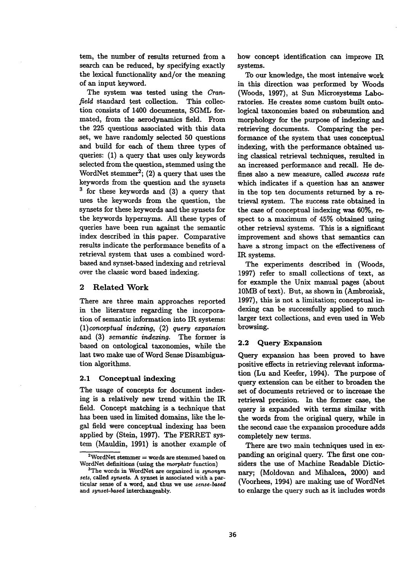tem, the number of results returned from a search can be reduced, by specifying exactly the lexical functionality and/or the meaning of an input keyword.

The system was tested using the *Cranfield* standard test collection. This collection consists of 1400 documents, SGML formated, from the aerodynamics field. From the 225 questions associated with this data set, we have randomly selected 50 questions and build for each of them three types of queries: (1) a query that uses only keywords selected from the question, stemmed using the WordNet stemmer<sup>2</sup>; (2) a query that uses the keywords from the question and the synsets 3 for these keywords and (3) a query that uses the keywords from the question, the synsets for these keywords and the synsets for the keywords hypernyms. All these types of queries have been run against the semantic index described in this paper. Comparative results indicate the performance benefits of a retrieval system that uses a combined wordbased and synset-based indexing and retrieval over the classic word based indexing.

### 2 Related Work

There are three main approaches reported in the literature regarding the incorporation of semantic information into IR systems: *(1)conceptual inde~ng,* (2) *query expansion*  and (3) *semantic indexing.* The former is based on ontological taxonomies, while the last two make use of Word Sense Disambiguation algorithms.

### **2.1 Conceptual indexing**

The usage of concepts for document indexing is a relatively new trend within the IR field. Concept matching is a technique that has been used in limited domains, like the legal field were conceptual indexing has been applied by (Stein, 1997). The FERRET system (Mauldin, 1991) is another example of how concept identification can improve IR systems.

To our knowledge, the most intensive work in this direction was performed by Woods (Woods, 1997), at Sun Microsystems Laboratories. He creates some custom built ontological taxonomies based on subsumtion and morphology for the purpose of indexing and retrieving documents. Comparing the performance of the system that uses conceptual indexing, with the performance obtained using classical retrieval techniques, resulted in an increased performance and recall. He defines also a new measure, called success rate which indicates if a question has an answer in the top ten documents returned by a retrieval system. The success rate obtained in the case of conceptual indexing was 60%, respect to a maximum of 45% obtained using other retrieval systems. This is a significant improvement and shows that semantics can have a strong impact on the effectiveness of IR systems.

The experiments described in (Woods, 1997) refer to small collections of text, as for example the Unix manual pages (about 10MB of text). But, as shown in (Ambroziak, 1997), this is not a limitation; conceptual indexing can be successfully applied to much larger text collections, and even used in Web browsing.

#### 2.2 Query Expansion

Query expansion has been proved to have positive effects in retrieving relevant information (Lu and Keefer, 1994). The purpose of query extension can be either to broaden the set of documents retrieved or to increase the retrieval precision. In the former case, the query is expanded with terms similar with the words from the original query, while in the second case the expansion procedure adds completely new terms.

There are two main techniques used in expanding an original query. The first one considers the use of Machine Readable Dictionary; (Moldovan and Mihaicea, 2000) and (Voorhees, 1994) are making use of WordNet to enlarge the query such as it includes words

<sup>2</sup>WordNet stemmer = words are stemmed based **on**  WordNet definitions (using the *morphstr* function)

<sup>3</sup>The words **in** WordNet are organized in *synonym sets,* called *synsets.* A synset is associated with a particular sense of a word, and thus we use *sense-based and synset-based* interchangeably.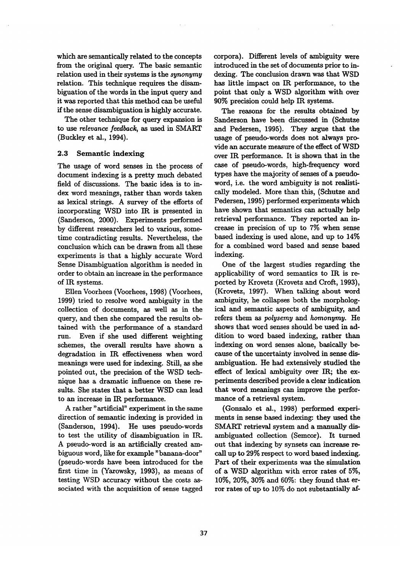which are semantically related to the concepts from the original query. The basic semantic relation used in their systems is the *synonymy*  relation. This technique requires the disambiguation of the words in the input query and it was reported that this method can be useful if the sense disambiguation is highly accurate.

The other technique for query expansion is to use *relevance feedback,* as used in SMART (Buckley et al., 1994).

## **2.3 Semantic indexing**

The usage of word senses in the process of document indexing is a pretty much debated field of discussions. The basic idea is to index word meanings, rather than words taken as lexical strings. A survey of the efforts of incorporating WSD into IR is presented in (Sanderson, 2000). Experiments performed by different researchers led to various, sometime contradicting results. Nevertheless, the conclusion which can be drawn from all these experiments is that a highly accurate Word Sense Disambiguation algorithm is needed in order to obtain an increase in the performance of IR systems.

Ellen Voorhees (Voorhees, 1998) (Voorhees, 1999) tried to resolve word ambiguity in the collection of documents, as well as in the query, and then she compared the results obtained with the performance of a standard run. Even if she used different weighting schemes, the overall results have shown a degradation in IR effectiveness when word meanings were used for indexing. Still, as she pointed out, the precision of the WSD technique has a dramatic influence on these results. She states that a better WSD can lead to an increase in IR performance.

A rather "artificial" experiment in the same direction of semantic indexing is provided in (Sanderson, 1994). He uses pseudo-words to test the utility of disambiguation in IR. A pseudo-word is an artificially created ambiguous word, like for example "banana-door" (pseudo-words have been introduced for the first time in (Yarowsky, 1993), as means of testing WSD accuracy without the costs associated with the acquisition of sense tagged

corpora). Different levels of ambiguity were introduced in the set of documents prior to **indexing.** The conclusion drawn was that WSD has little impact on IR performance, to the point that only a WSD algorithm with over 90% precision could help IR systems.

The reasons for the results obtained by Sanderson have been discussed in (Schutze and Pedersen, 1995). They argue that the usage of pseudo-words does not always provide an accurate measure of the effect of WSD over IR performance. It is shown that in the case of pseudo-words, high-frequency word types have the majority of senses of a pseudoword, i.e. the word ambiguity is not realistically modeled. More than this, (Schutze and Pedersen, 1995) performed experiments which have shown that semantics can actually help retrieval performance. They reported an increase in precision of up to 7% when sense based indexing is used alone, and up to 14% for a combined word based and sense based indexing.

One of the largest studies regarding the applicability of word semantics to IR is reported by Krovetz (Krovetz and Croft, 1993), (Krovetz, 1997). When talking about word ambiguity, he collapses both the morphological and semantic aspects of ambiguity, and refers them as *polysemy and homonymy.* He shows that word senses should be used in addition to word based indexing, rather than indexing on word senses alone, basically because of the uncertainty involved in sense disambiguation. He had extensively studied the effect of lexical ambiguity over  $IR$ ; the experiments described provide a clear indication that word meanings can improve the performance of a retrieval system.

(Gonzalo et al., 1998) performed experiments in sense based indexing: they used the SMART retrieval system and a manually disambiguated collection (Semcor). It turned out that indexing by synsets can increase recall up to 29% respect to word based indexing. Part of their experiments was the simulation of a WSD algorithm with error rates of 5%, 10%, 20%, 30% and 60%: they found that error rates of up to 10% do not substantially af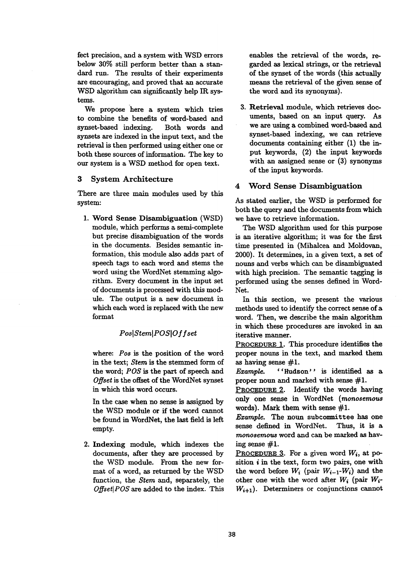fect precision, and a system with WSD errors below 30% still perform better than a standard run. The results of their experiments are encouraging, and proved that an accurate WSD algorithm can significantly help IR systems.

We propose here a system which tries to combine the benefits of word-based and synset-based indexing. Both words and synsets are indexed in the input text, and the retrieval is then performed using either one or both these sources of information. The key to our system is a WSD method for open text.

# 3 System Architecture

There are three main modules used by this system:

1. Word Sense Disambiguation (WSD) module, which performs a semi-complete but precise disambiguation of the words in the documents. Besides semantic information, this module also adds part of speech tags to each word and stems the word using the WordNet stemming algorithm. Every document in the input set of documents is processed with this module. The output is a new document in which each word is replaced with the new format

# *PoslStemlPOSlO.f.f set*

where: *Pos is* the position of the word in the text; *Stem is* the stemmed form of the word; *POS is* the part of speech and *Offset* is the offset of the WordNet synset in which this word occurs.

In the case when no sense is assigned by the WSD module or if the word cannot be found in WordNet, the last field is left empty.

2. Indexing module, which indexes the documents, after they are processed by the WSD module. From the new format of a word, as returned by the WSD function, the *Stem* and, separately, the *Offset{POS are* added to the index. This enables the retrieval of the words, regarded as lexical strings, or the retrieval of the synset of the words (this actually means the retrieval of the given sense of the word and its synonyms).

**.** Retrieval module, which retrieves documents, based on an input query. As we are using a combined word-based and synset-based indexing, we can retrieve documents containing either (1) the input keywords, (2) the input keywords with an assigned sense or  $(3)$  synonyms of the input keywords.

# **4** Word Sense Disambiguation

As stated earlier, the WSD is performed for both the query and the documents from which we have to retrieve information.

The WSD algorithm used for this purpose is an iterative algorithm; it was for the first time presented in (Mihalcea and Moldovan, 2000). It determines, in a given text, a set of nouns and verbs which can be disambiguated with high precision. The semantic tagging is performed using the senses defined in Word-Net.

In this section, we present the various methods used to identify the correct sense of a word. Then, we describe the main algorithm in which these procedures are invoked in an iterative manner.

PROCEDURE 1. This procedure identifies the proper nouns in the text, and marked them as having sense  $#1$ .

*Example.* ''Hudson'' is identified as a proper noun and marked with sense #1.

PROCEDURE 2. Identify the words having only one sense in WordNet *(monosemous*  words). Mark them with sense #1.

*Example.* The noun subcommittee has one sense defined in WordNet. Thus, it is a *monosemous* word and can be marked as having sense #1.

PROCEDURE 3. For a given word  $W_i$ , at position  $i$  in the text, form two pairs, one with the word before  $W_i$  (pair  $W_{i-1}$ - $W_i$ ) and the other one with the word after  $W_i$  (pair  $W_i$ - $W_{i+1}$ ). Determiners or conjunctions cannot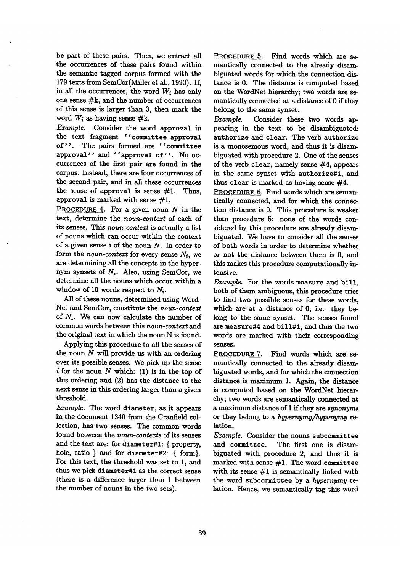be part of these pairs. Then, we extract all the occurrences of these pairs found within the semantic tagged corpus formed with the 179 texts from SemCor(Miller et al., 1993). If, in all the occurrences, the word  $W_i$  has only one sense #k, and the number of occurrences of this sense is larger than 3, then mark the word  $W_i$  as having sense #k.

*Example.* Consider the word approval in the text fragment ''committee approval of". The pairs formed are "committee approval'' and ''approval of''. No occurrences of the first pair are found in the corpus. Instead, there are four occurrences of the second pair, and in all these occurrences the sense of approval is sense  $#1$ . Thus, approval is marked with sense  $#1$ .

PROCEDURE  $4$ . For a given noun N in the text, determine the *noun-context* of each of its senses. This *noun-context* is actually a list of nouns which can occur within the context of a given sense i of the noun N. In order to form the *noun-context* for every sense *Ni,* we are determining all the concepts in the hypernym synsets of *Ni.* Also, using SemCor, we determine all the nouns which occur within a window of 10 words respect to *Ni.* 

All of these nouns, determined using Word-Net and SemCor, constitute the *noun-context*  of *Ni.* We can now calculate the number of common words between this *noun-context and*  the original text in which the noun N is found.

Applying this procedure to all the senses of the noun  $N$  will provide us with an ordering over its possible senses. We pick up the sense i for the noun  $N$  which: (1) is in the top of this ordering and (2) has the distance to the next sense in this ordering larger than a given threshold.

*Example.* The word diameter, as it appears in the document 1340 from the Cranfield collection, has two senses. The common words found between the *noun-contexts* of its senses and the text are: for diameter#l: { property, hole, ratio } and for diameter#2: { form}. For this text, the threshold was set to 1, and thus we pick diameter#1 as the correct sense (there is a difference larger than 1 between the number of nouns in the two sets).

PROCEDURE 5. Find words which are semantically connected to the already disambiguated words for which the connection distance is 0. The distance is computed based on the WordNet hierarchy; two words are semantically connected at a distance of 0 if they belong to the same synset.

*Example.* Consider these two words appearing in the text to be disambiguated: authorize and clear. The verb authorize is a monosemous word, and thus it is disambiguated with procedure 2. One of the senses of the verb clear, namely sense #4, appears in the same synset with authorize#I, and thus clear is marked as having sense #4.

PROCEDURE 6. Find words which are semantically connected, and for which the connection distance is 0. This procedure is weaker than procedure 5: none of the words considered by this procedure are already disambiguated. We have to consider all the senses of both words in order to determine whether or not the distance between them is 0, and this makes this procedure computationally intensive.

*Example.* For the words measure and bill, both of them ambiguous, this procedure tries to find two possible senses for these words, which are at a distance of 0, i.e. they belong to the same synset. The senses found are measure#4 and bill#l, and thus the two words are marked with their corresponding senses.

PROCEDURE 7. Find words which are semantically connected to the already disambiguated words, and for which the connection distance is maximum 1. Again, the distance is computed based on the WordNet hierarchy; two words are semantically connected at a maximum distance of 1 if they are *synonyms*  or they belong to a *hypernymy/hyponymy re*lation.

*Example.* Consider the nouns subcommittee and committee. The first one is disambiguated with procedure 2, and thus it is marked with sense  $#1$ . The word committee with its sense  $#1$  is semantically linked with the word subcommittee by a *hypernymy re*lation. Hence, we semantically tag this word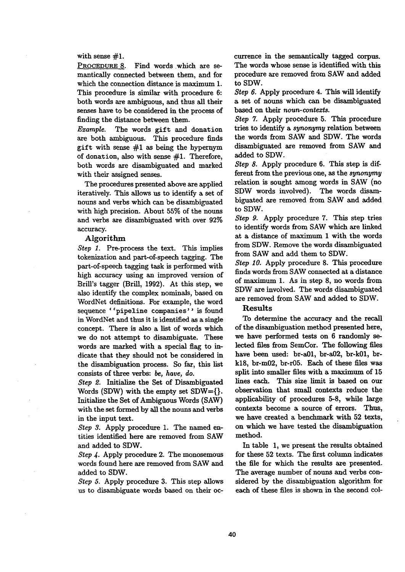### with sense  $#1$ .

PROCEDURE 8. Find words which are semantically connected between them, and for which the connection distance is maximum 1. This procedure is similar with procedure 6: both words are ambiguous, and thus all their senses have to be considered in the process of finding the distance between them.

*Example.* The words gift and donation are both ambiguous. This procedure finds gift with sense #1 as being the hypernym of donation, also with sense  $#1$ . Therefore, both words are disambiguated and marked with their assigned senses.

The procedures presented above are applied iteratively. This allows us to identify a set of nouns and verbs which can be disambiguated with high precision. About 55% of the nouns and verbs are disambiguated with over 92% accuracy.

#### Algorithm

*Step 1.* Pre-process the text. This implies tokenization and part-of-speech tagging. The part-of-speech tagging task is performed with high accuracy using an improved version of Brill's tagger (Brill, 1992). At this step, we also identify the complex nominals, based on WordNet definitions. For example, the word sequence ''pipeline companies'' is found in WordNet and thus it is identified as a single concept. There is also a list of words which we do not attempt to disambiguate. These words are marked with a special flag to indicate that they should not be considered in the disambiguation process. So far, this list consists of three verbs: be, *have, do.* 

*Step 2.* Initialize the Set of Disambiguated Words (SDW) with the empty set SDW={}. Initialize the Set of Ambiguous Words (SAW) with the set formed by all the nouns and verbs in the input text.

*Step 3.* Apply procedure 1. The named entities identified here are removed from SAW and added to SDW.

*Step 4.* Apply procedure 2. The monosemous words found here axe removed from SAW and added to SDW.

*Step 5.* Apply procedure 3. This step allows us to disambiguate words based on their occurrence in the semantically tagged corpus. The words whose sense is identified with this procedure are removed from SAW and added to SDW.

*Step 6.* Apply procedure 4. This will identify a set of nouns which can be disambiguated based on their *noun-contexts*.

*Step* 7. Apply procedure 5. This procedure tries to identify a *synonymy* relation between the words from SAW and SDW. The words disambiguated are removed from SAW and added to SDW.

*Step 8.* Apply procedure 6. This step is different from the previous one, as the *synonymy*  relation is sought among words in SAW (no SDW words involved). The words disambiguated are removed from SAW and added to SDW.

*Step 9.* Apply procedure 7. This step tries to identify words from SAW which are linked at a distance of maximum 1 with the words from SDW. Remove the words disambiguated from SAW and add them to SDW.

*Step 10.* Apply procedure 8. This procedure finds words from SAW connected at a distance of maximum I. As in step 8, no words from SDW are involved. The words disambiguated are removed from SAW and added to SDW.

# Results

To determine the accuracy and the recall of the disambiguation method presented here, we have performed tests on 6 randomly selected files from SemCor. The following files have been used: br-a01, br-a02, br-k01, brk18, br-m02, br-r05. Each of these files was split into smaller files with a maximum of 15 lines each. This size limit is based on our observation that small contexts reduce the applicability of procedures 5-8, while large contexts become a source of errors. Thus, we have created a benchmark with 52 texts, on which we have tested the disambiguation method.

In table 1, we present the results obtalned for these 52 texts. The first column indicates the file for which the results are presented. The average number of nouns and verbs considered by the disambiguation algorithm for each of these files is shown in the second col-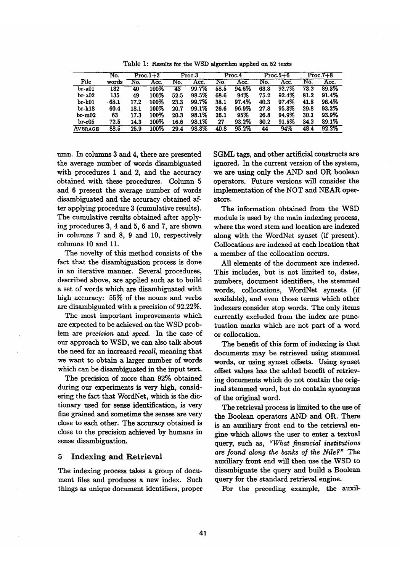|                | No.              |      | $Proc.1+2$ | Proc.3 |       | Proc.4 |       | $Proc.5+6$ |       | $Proc.7+8$ |       |
|----------------|------------------|------|------------|--------|-------|--------|-------|------------|-------|------------|-------|
| File           | words            | No.  | Acc.       | No.    | Acc.  | No.    | Acc.  | No.        | Acc.  | No.        | Acc.  |
| $br-a01$       | $\overline{132}$ | 40   | 100%       | 43     | 99.7% | 58.5   | 94.6% | 63.8       | 92.7% | 73.2       | 89.3% |
| $br-a02$       | 135              | 49   | 100%       | 52.5   | 98.5% | 68.6   | 94%   | 75.2       | 92.4% | 81.2       | 91.4% |
| $br-k01$       | $\cdot$ 68.1     | 17.2 | 100%       | 23.3   | 99.7% | 38.1   | 97.4% | 40.3       | 97.4% | 41.8       | 96.4% |
| $br-k18$       | 60.4             | 18.1 | 100%       | 20.7   | 99.1% | 26.6   | 96.9% | 27.8       | 95.3% | 29.8       | 93.2% |
| $br-m02$       | 63               | 17.3 | 100%       | 20.3   | 98.1% | 26.1   | 95%   | 26.8       | 94.9% | 30.1       | 93.9% |
| $br-r05$       | 72.5             | 14.3 | 100%       | 16.6   | 98.1% | 27     | 93.2% | 30.2       | 91.5% | 34.2       | 89.1% |
| <b>AVERAGE</b> | 88.5             | 25.9 | 100%       | 29.4   | 98.8% | 40.8   | 95.2% | 44         | 94%   | 48.4       | 92.2% |

Table I: Results for the WSD algorithm applied on 52 texts

umn. In columns 3 and 4, there are presented the average number of words disambiguated with procedures 1 and 2, and the accuracy obtained with these procedures. Column 5 and 6 present the average number of words disambiguated and the accuracy obtained after applying procedure 3 (cumulative results). The cumulative results obtained after applying procedures 3, 4 and 5, 6 and 7, are shown in columns 7 and 8, 9 and 10, respectively columns 10 and 11.

The novelty of this method consists of the fact that the disambiguation process is done in an iterative manner. Several procedures, described above, are applied such as to build a set of words which are disambiguated with high accuracy: 55% of the nouns and verbs are disambiguated with a precision of 92.22%.

The most important improvements which are expected to be achieved on the WSD problem are *precision and speed.* In the case of our approach to WSD, we can also talk about the need for an increased recall, meaning that we want to obtain a larger number of words which can be disambiguated in the input text.

The precision of more than 92% obtained during our experiments is very high, considering the fact that WordNet, which is the dictionary used for sense identification, is very fine grained and sometime the senses are very close to each other. The accuracy obtained is close to the precision achieved by humans in sense disambiguation.

## 5 Indexing and Retrieval

The indexing process takes a group of document files and produces a new index. Such things as unique document identifiers, proper SGML tags, and other artificial constructs are ignored. In the current version of the system, we are using only the AND and OR boolean operators. Future versions will consider the implementation of the NOT and NEAR operators.

The information obtained from the WSD module is used by the main indexing process, where the word stem and location are indexed along with the WordNet synset (if present). Collocations are indexed at each location that a member of the collocation occurs.

All elements of the document are indexed. This includes, but is not limited to, dates, numbers, document identifiers, the stemmed words, collocations, WordNet synsets (if available), and even those terms which other indexers consider stop words. The only items currently excluded from the index are punctuation marks which are not part of a word or collocation.

The benefit of this form of indexing is that documents may be retrieved using stemmed words, or using synset offsets. Using synset offset values has the added benefit of retrieving documents which do not contain the original stemmed word, but do contain synonyms of the original word.

The retrieval process is limited to the use of the Boolean operators AND and OR. There is an auxiliary front end to the retrieval engine which allows the user to enter a textual query, such as, *"What financial institutions*  are found along the banks of the Nile?" The auxiliary front end will then use the WSD to disambiguate the query and build a Boolean query for the standard retrieval engine.

For the preceding example, the auxil-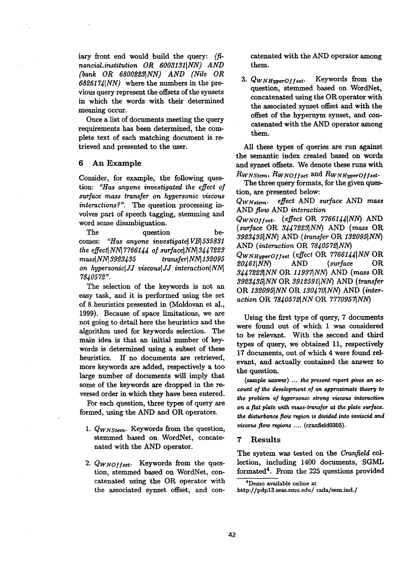iary front end would build the query: *(financiaLinstitution OR 60031M[NN) AND (bank OR 68002231NN) AND (Nile OR 68261741NN)* where the numbers in the previous query represent the offsets of the synsets in which the words with their determined meaning occur.

Once a list of documents meeting the query requirements has been determined, the complete text of each matching document is retrieved and presented to the user.

#### 6 An Example

Consider, for example, the following question: *"Has anyone investigated the effect of surface mass transfer on hypersonic viscous interactions?"*. The question processing involves part of speech tagging, stemming and word sense disambiguation.

The question becomes: "Has anyone investigate VB 535831 *the effect* NN 7766144 of surface NN 3447223 mass *NN 3923435* transfer *NN 132095 on hypersoniclJJ viscouslJJ interactionlNNl 7840572".* 

The selection of the keywords is not an easy task, and it is performed using the set of 8 heuristics presented in (Moldovan et al., 1999). Because of space limitations, we are not going to detail here the heuristics and the algorithm used for keywords selection. The main idea is that an initial number of keywords is determined using a subset of these heuristics. If no documents are retrieved, more keywords are added, respectively a too large number of documents will imply that some of the keywords are dropped in the reversed order in which they have been entered.

For each question, three types of query are formed, using the AND and OR operators.

- *1. QwNstem.* Keywords from the question, stemmed based on WordNet, concatenated with the AND operator.
- *2. QwNoffset.* Keywords from the question, stemmed based on WordNet, concatenated using the OR. operator with the associated synset offset, and con-

catenated with the AND operator among them.

3.  $Q_{WNHyperOffset}$ . Keywords from the question, stemmed based on WordNet, concatenated using the OR operator with the associated synset offset and with the offset of the hypernym synset, and concatenated with the AND operator among them.

All these types of queries are run against the semantic index created based on words and synset offsets. We denote these runs with *RWNStem, RWNOyfset and RWNHyperOffset.* 

The three query formats, for the given question, are presented below:

*QwNstern. effect* AND *surface* AND *mass AND flow* AND *interaction* 

*QwNoyyset. (effect* OR *77661441NN) AND (surface* OR *3447223[NN)* AND *(mass* OR *392343651NN)* AND *(transfer* OR *1320951NN)*  AND *(interaction* OR *78405721NN)* 

*QWNHyperOf fset (effect* OR *77661441NN OR 20461*|*NN*) AND (surface *3447223]NN* OR *119371NN )* AND *(mass OR. 39234351NN* OR *3912591[NN) AND (transfer*  OR *1320951NN OR. 1304701NN)* AND *(interaction* OR. *784057£~NN* OR. *7770957~NN)* 

Using the first type of query, 7 documents were found out of which 1 was considered to be relevant. With the second and third types of query, we obtained 11, respectively 17 documents, out of which 4 were found relevant, and actually contained the answer to the question.

(sample answer) ... *the present report gives an account of the development of an approximate theory to the problem of hypersonic strong viscous interaction on a fiat plate with mass-transfer at the plate surface. the disturbance flow region is divided into inviscid and viscous flow regions ....* (cranfield0305).

## **<sup>77</sup>**Results

The system was tested on the *Cranfield* collection, including 1400 documents, SGML formated<sup>4</sup>. From the 225 questions provided

<sup>4</sup>Demo available online at

http://pdp13.seas.smu.edu/rada/sem.ind./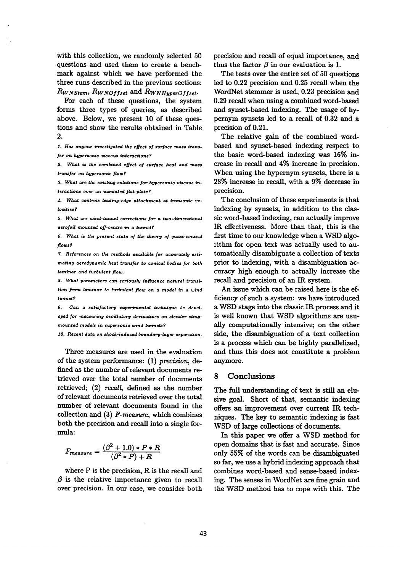with this collection, we randomly selected 50 questions and used them to create a benchmark against which we have performed the three runs described in the previous sections:  $R_{W N 5 t e m}$ ,  $R_{W N 0 f f s e t}$  and  $R_{W N H v p e r O f f s e t}$ .

For each of these questions, the system forms three types of queries, as described above. Below, we present 10 of these questions and show the results obtained in Table 2.

I. Has anyone *investigated the effect of surface mass transfer on hypersonic ~'L~cwas interactions?* 

*\$. What is the combined effect of surface heat and mass transfer on hypersonic flow?* 

*3. What are the existing solutions for hypersonic viscous interactions over an insulated fiat plate?* 

*4. What controls leading-edge attachment at transonic velocities ?* 

*5. What are wind-tunnel corrections for a two-dimensional aerofoil mounted off-centre in a tunnel?* 

*6. What is the present state of the theory of quasi-conical flows ?* 

*7. References on the methods available for accurately estimating aerodynamic heat transfer to conical bodies for both laminar and turbulent flow.* 

*8. What parameters can seriously influence natural transition from laminar to turbulent flow on a model in a wind tunnel?* 

9. Can a satisfactory experimental technique be devel*oped for measuring oscillatory derivatives on slender stingmounted models in supersonic wind tunnels?* 

*I0. Recent data on shock-induced boundary-layer separation.* 

Three measures are used in the evaluation of the system performance: (1) *precision, de..*  fined as the number of relevant documents retrieved over the total number of documents retrieved;  $(2)$  recall, defined as the number of relevant documents retrieved over the total number of relevant documents found in the collection and (3) *F-measure,* which combines both the precision and recall into a single formula:

$$
F_{measure} = \frac{(\beta^2 + 1.0) * P * R}{(\beta^2 * P) + R}
$$

where P is the precision, R is the recall and  $\beta$  is the relative importance given to recall over precision. In our case, we consider both precision and recall of equal importance, and thus the factor  $\beta$  in our evaluation is 1.

The tests over the entire set of 50 questions led to 0.22 precision and 0.25 recall when the WordNet stemmer is used, 0.23 precision and 0.29 recall when using a combined word-based and synset-based indexing. The usage of hypernym synsets led to a recall of 0.32 and a precision of 0.21.

The relative gain of the combined wordbased and synset-based indexing respect to the basic word-based indexing was 16% increase in recall and 4% increase in precision. When using the hypernym synsets, there is a 28% increase in recall, with a 9% decrease in precision.

The conclusion of these experiments is that indexing by synsets, in addition to the classic word-based indexing, can actually improve IR effectiveness. More than that, this is the first time to our knowledge when a WSD algorithm for open text was actually used to automaticaUy disambiguate a collection of texts prior to indexing, with a disambiguation accuracy high enough to actually increase the recall and precision of an IR system.

An issue which can be raised here is the efficiency of such a system: we have introduced a WSD stage into the classic IR process and it is well known that WSD algorithms are usually computationally intensive; on the other side, the disambiguation of a text collection is a process which can be highly parallelized, and thus this does not constitute a problem anymore.

# 8 Conclusions

The full understanding of text is still an elusive goal. Short of that, semantic indexing offers an improvement over current IR techniques. The key to semantic indexing is fast WSD of large collections of documents.

In this paper we offer a WSD method for open domains that is fast and accurate. Since only 55% of the words can be disambiguated so far, we use a hybrid indexing approach that combines word-based and sense-based indexing. The senses in WordNet are fine grain and the WSD method has to cope with this. The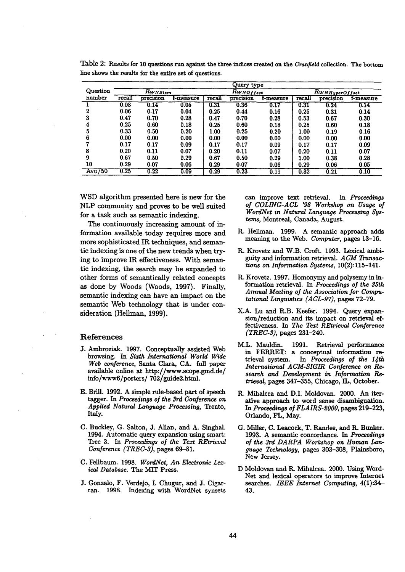|          | Query type |              |           |        |                |           |                       |           |           |  |
|----------|------------|--------------|-----------|--------|----------------|-----------|-----------------------|-----------|-----------|--|
| Question |            | $R_{WNStem}$ |           |        | $R_{WNOffset}$ |           | $R_{WN\,HyperOffset}$ |           |           |  |
| number   | recall     | precision    | f-measure | recall | precision      | f-measure | recall                | precision | f-measure |  |
|          | 0.08       | 0.14         | 0.05      | 0.31   | 0.36           | 0.17      | 0.31                  | 0.24      | 0.14      |  |
| 2        | 0.06       | 0.17         | 0.04      | 0.25   | 0.44           | 0.16      | 0.25                  | 0.31      | 0.14      |  |
| 3        | 0.47       | 0.70         | 0.28      | 0.47   | 0.70           | 0.28      | 0.53                  | 0.67      | 0.30      |  |
| 4        | 0.25       | 0.60         | 0.18      | 0.25   | 0.60           | 0.18      | 0.25                  | 0.60      | 0.18      |  |
| 5        | 0.33       | 0.50         | 0.20      | 1.00   | 0.25           | 0.20      | 1.00                  | 0.19      | 0.16      |  |
| 6        | 0.00       | 0.00         | 0.00      | 0.00   | 0.00           | 0.00      | 0.00                  | 0.00      | 0.00      |  |
|          | 0.17       | 0.17         | 0.09      | 0.17   | 0.17           | 0.09      | 0.17                  | 0.17      | 0.09      |  |
| 8        | 0.20       | 0.11         | 0.07      | 0.20   | 0.11           | 0.07      | 0.20                  | 0.11      | 0.07      |  |
| 9        | 0.67       | 0.50         | 0.29      | 0.67   | 0.50           | 0.29      | 1.00                  | 0.38      | 0.28      |  |
| 10       | 0.29       | 0.07         | 0.06      | 0.29   | 0.07           | 0.06      | 0.29                  | 0.06      | 0.05      |  |
| Avg/50   | 0.25       | 0.22         | 0.09      | 0.29   | 0.23           | 0.11      | 0.32                  | 0.21      | 0.10      |  |

Table 2: Results for 10 questions run against the three indices created on the *Cranlleld* collection. The bottom line shows the results for the entire set of questions.

WSD algorithm presented here is new for the NLP community and proves to be well suited for a task such as semantic indexing.

The continuously increasing amount of information available today requires more and more sophisticated IR techniques, and semantic indexing is one of the new trends when trying to improve IR effectiveness. With semantic indexing, the search may be expanded to other forms of semantically related concepts as done by Woods (Woods, 1997). Finally, semantic indexing can have an impact on the semantic Web technology that is under consideration (Hellman, 1999).

#### References

- J. Ambroziak. 1997. Conceptually assisted Web browsing. *In Sixth International World Wide Web conference,* Santa Clara, CA. full paper available online at  $http://www.scope.gmd.de/$ info/www6/posters/702/guide2.html.
- E. Brill. 1992. A simple rule-based part of speech tagger. In *Proceedings of the 3rd Conference on Applied Natural Language Processing,* Trento, Italy.
- C. Buckley, G. Salton, J. Allan, and A. Singhal. 1994. Automatic query expansion using smart: Trec 3. In *Proceedings of the Text REtrieval Conference (TREC-3)*, pages 69-81.
- C. Fellbaurn. 1998. *WordNet, An Electronic Lexical Database.* The MIT Press.
- J. Gonzalo, F. Verdejo, I. Chugur, and J. Cigarran. 1998. Indexing with WordNet synsets

can improve text retrieval. *In Proceedings of COLING-ACL '98 Workshop on Usage of Word.Net in Natural Language Processing Systems,* Montreal, Canada, August.

- R. HeUman. 1999. A semantic approach adds meaning to the Web. *Computer,* pages 13-16.
- R. Krovetz and W.B. Croft. 1993. Lexical ambiguity and in\_formation retrieval. *A CM Transactions on Information Systems,* 10(2):115--141.
- R. Krovetz. 1997. Homonymy and polysemy in information retrieval. In *Proceedings of the 35th Annual Meeting of the Association for Computational Linguistics (A CL-97},* pages 72-79.
- X.A. Lu and R.B. Keefer. 1994. Query expansion/reduction and its impact on retrieval effectiveness. *In The Text REtrieval Conference (TREC-3),* pages 231-240.
- M.L. Mauldin. 1991. Retrieval performance in FERRET: a conceptual information retrieval system. In Proceedings of the 14th *International A CM-SIGIR Conference on Research and Development in Information Retrieval,* pages 347-355, Chicago, IL, October.
- R. Mihalcea and D.I. Moldovan. 2000. An iterative approach to word sense disambiguation. *In Proceedings of FLAIRS-2000,* pages 219-223, Orlando, FL, May.
- G. Miller, C. Leacock, T. Randee, and R. Bunker. 1993. A semantic concordance. In *Proceedings of the 3rd DARPA Workshop on Human Lan*guage Technology, pages 303-308, Plainsboro, New Jersey.
- D Moldovan and R. Mihalcea. 2000. Using Word-Net and lexical operators to improve Internet searches. *IEEE Internet Computing,* 4(1):34-- 43.